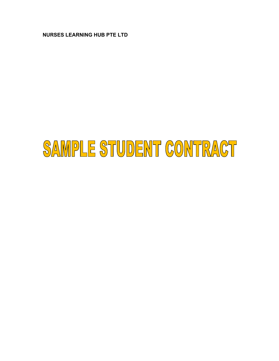**NURSES LEARNING HUB PTE LTD** 

# SAMPLE STUDENT CONTRACT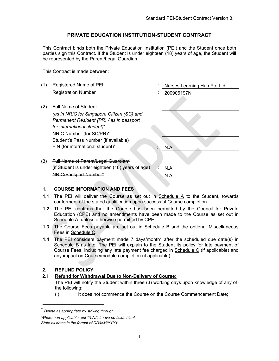#### **PRIVATE EDUCATION INSTITUTION-STUDENT CONTRACT**

This Contract binds both the Private Education Institution (PEI) and the Student once both parties sign this Contract. If the Student is under eighteen (18) years of age, the Student will be represented by the Parent/Legal Guardian.

This Contract is made between:

| (1) | Registered Name of PEI                           | Nurses Learning Hub Pte Ltd |
|-----|--------------------------------------------------|-----------------------------|
|     | <b>Registration Number</b>                       | 200906197N                  |
|     |                                                  |                             |
| (2) | <b>Full Name of Student</b>                      |                             |
|     | (as in NRIC for Singapore Citizen (SC) and       |                             |
|     | Permanent Resident (PR) / as in passport         |                             |
|     | for international student)*                      |                             |
|     | NRIC Number (for SC/PR)*                         |                             |
|     | Student's Pass Number (if available)             |                             |
|     | FIN (for international student)*                 | N.A                         |
|     |                                                  |                             |
| (3) | Full Name of Parent/Legal Guardian*              |                             |
|     | (if Student is under eighteen (18) years of age) | N.A                         |
|     | <del>NRIC/Passport Number*</del>                 | N.A                         |
|     |                                                  |                             |

#### **1. COURSE INFORMATION AND FEES**

- **1.1** The PEI will deliver the Course as set out in Schedule A to the Student, towards conferment of the stated qualification upon successful Course completion.
- **1.2** The PEI confirms that the Course has been permitted by the Council for Private Education (CPE) and no amendments have been made to the Course as set out in Schedule A, unless otherwise permitted by CPE.
- **1.3** The Course Fees payable are set out in Schedule B and the optional Miscellaneous Fees in Schedule C.
- **1.4** The PEI considers payment made 7 days/month\* after the scheduled due date(s) in Schedule B as late. The PEI will explain to the Student its policy for late payment of Course Fees, including any late payment fee charged in Schedule C (if applicable) and any impact on Course/module completion (if applicable).

#### **2. REFUND POLICY**

#### **2.1 Refund for Withdrawal Due to Non-Delivery of Course:**

The PEI will notify the Student within three (3) working days upon knowledge of any of the following:

(i) It does not commence the Course on the Course Commencement Date;

<sup>\*</sup> *Delete as appropriate by striking through.* 

*Where non-applicable, put "*N.A.*". Leave no fields blank. State all dates in the format of DD/MM/YYYY.*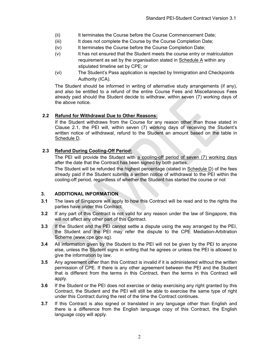- (ii) It terminates the Course before the Course Commencement Date;
- (iii) It does not complete the Course by the Course Completion Date;
- (iv) It terminates the Course before the Course Completion Date;
- (v) It has not ensured that the Student meets the course entry or matriculation requirement as set by the organisation stated in  $S$ chedule  $A$  within any stipulated timeline set by CPE; or
- (vi) The Student's Pass application is rejected by Immigration and Checkpoints Authority (ICA).

The Student should be informed in writing of alternative study arrangements (if any), and also be entitled to a refund of the entire Course Fees and Miscellaneous Fees already paid should the Student decide to withdraw, within seven (7) working days of the above notice.

#### **2.2 Refund for Withdrawal Due to Other Reasons:**

If the Student withdraws from the Course for any reason other than those stated in Clause 2.1, the PEI will, within seven (7) working days of receiving the Student's written notice of withdrawal, refund to the Student an amount based on the table in Schedule D.

#### **2.3 Refund During Cooling-Off Period:**

The PEI will provide the Student with a cooling-off period of seven (7) working days after the date that the Contract has been signed by both parties.

The Student will be refunded the highest percentage (stated in Schedule D) of the fees already paid if the Student submits a written notice of withdrawal to the PEI within the cooling-off period, regardless of whether the Student has started the course or not

#### **3. ADDITIONAL INFORMATION**

- **3.1** The laws of Singapore will apply to how this Contract will be read and to the rights the parties have under this Contract.
- **3.2** If any part of this Contract is not valid for any reason under the law of Singapore, this will not affect any other part of this Contract.
- **3.3** If the Student and the PEI cannot settle a dispute using the way arranged by the PEI, the Student and the PEI may refer the dispute to the CPE Mediation-Arbitration Scheme (www.cpe.gov.sg).
- **3.4** All information given by the Student to the PEI will not be given by the PEI to anyone else, unless the Student signs in writing that he agrees or unless the PEI is allowed to give the information by law.
- **3.5** Any agreement other than this Contract is invalid if it is administered without the written permission of CPE. If there is any other agreement between the PEI and the Student that is different from the terms in this Contract, then the terms in this Contract will apply.
- **3.6** If the Student or the PEI does not exercise or delay exercising any right granted by this Contract, the Student and the PEI will still be able to exercise the same type of right under this Contract during the rest of the time the Contract continues.
- **3.7** If this Contract is also signed or translated in any language other than English and there is a difference from the English language copy of this Contract, the English language copy will apply.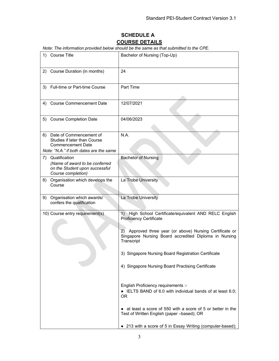# **SCHEDULE A COURSE DETAILS**

*Note: The information provided below should be the same as that submitted to the CPE.* 

| 1) | <b>Course Title</b>                                                                                                               | Bachelor of Nursing (Top-Up)                                                                                                                                                                                                   |
|----|-----------------------------------------------------------------------------------------------------------------------------------|--------------------------------------------------------------------------------------------------------------------------------------------------------------------------------------------------------------------------------|
|    | 2) Course Duration (in months)                                                                                                    | 24                                                                                                                                                                                                                             |
|    | 3) Full-time or Part-time Course                                                                                                  | Part Time                                                                                                                                                                                                                      |
|    | 4) Course Commencement Date                                                                                                       | 12/07/2021                                                                                                                                                                                                                     |
|    | 5) Course Completion Date                                                                                                         | 04/06/2023                                                                                                                                                                                                                     |
|    | 6) Date of Commencement of<br>Studies if later than Course<br><b>Commencement Date</b><br>Note: "N.A." if both dates are the same | N.A.                                                                                                                                                                                                                           |
|    | 7) Qualification<br>(Name of award to be conferred<br>on the Student upon successful<br>Course completion)                        | <b>Bachelor of Nursing</b>                                                                                                                                                                                                     |
|    | 8) Organisation which develops the<br>Course                                                                                      | La Trobe University                                                                                                                                                                                                            |
|    | 9) Organisation which awards/<br>confers the qualification                                                                        | La Trobe University                                                                                                                                                                                                            |
|    | 10) Course entry requirement(s)                                                                                                   | 1) High School Certificate/equivalent AND RELC English<br><b>Proficiency Certificate</b><br>Approved three year (or above) Nursing Certificate or<br>2)<br>Singapore Nursing Board accredited Diploma in Nursing<br>Transcript |
|    |                                                                                                                                   | 3) Singapore Nursing Board Registration Certificate<br>4) Singapore Nursing Board Practising Certificate                                                                                                                       |
|    |                                                                                                                                   | English Proficiency requirements :-<br>• IELTS BAND of 6.0 with individual bands of at least 6.0;<br><b>OR</b>                                                                                                                 |
|    |                                                                                                                                   | • at least a score of 550 with a score of 5 or better in the<br>Test of Written English (paper -based); OR                                                                                                                     |
|    |                                                                                                                                   | 213 with a score of 5 in Essay Writing (computer-based);                                                                                                                                                                       |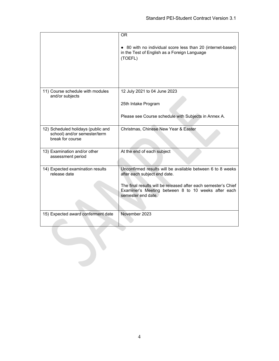|                                                                                        | <b>OR</b>                                                                                                                                   |
|----------------------------------------------------------------------------------------|---------------------------------------------------------------------------------------------------------------------------------------------|
|                                                                                        | • 80 with no individual score less than 20 (internet-based)<br>in the Test of English as a Foreign Language<br>(TOEFL)                      |
| 11) Course schedule with modules<br>and/or subjects                                    | 12 July 2021 to 04 June 2023                                                                                                                |
|                                                                                        | 25th Intake Program                                                                                                                         |
|                                                                                        | Please see Course schedule with Subjects in Annex A.                                                                                        |
| 12) Scheduled holidays (public and<br>school) and/or semester/term<br>break for course | Christmas, Chinese New Year & Easter                                                                                                        |
| 13) Examination and/or other<br>assessment period                                      | At the end of each subject                                                                                                                  |
| 14) Expected examination results<br>release date                                       | Unconfirmed results will be available between 6 to 8 weeks<br>after each subject end date.                                                  |
|                                                                                        | The final results will be released after each semester's Chief<br>Examiner's Meeting between 8 to 10 weeks after each<br>semester end date. |
| 15) Expected award conferment date                                                     | November 2023                                                                                                                               |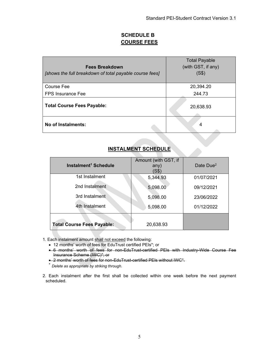### **SCHEDULE B COURSE FEES**

| <b>Fees Breakdown</b><br>[shows the full breakdown of total payable course fees] | <b>Total Payable</b><br>(with GST, if any)<br>(S\$) |
|----------------------------------------------------------------------------------|-----------------------------------------------------|
| Course Fee                                                                       | 20,394.20                                           |
| <b>FPS Insurance Fee</b>                                                         | 244.73                                              |
| <b>Total Course Fees Payable:</b>                                                | 20,638.93                                           |
| No of Instalments:                                                               | 4                                                   |

# **INSTALMENT SCHEDULE**

| Instalment <sup>1</sup> Schedule  | Amount (with GST, if<br>any)<br>'S\$` | Date Due <sup>2</sup> |
|-----------------------------------|---------------------------------------|-----------------------|
| 1st Instalment                    | 5,344.93                              | 01/07/2021            |
| 2nd Instalment                    | 5,098.00                              | 09/12/2021            |
| 3rd Instalment                    | 5,098.00                              | 23/06/2022            |
| 4th Instalment                    | 5,098.00                              | 01/12/2022            |
| <b>Total Course Fees Payable:</b> | 20,638.93                             |                       |

- 1. Each instalment amount shall not exceed the following:
	- 12 months' worth of fees for EduTrust certified PEIs\*; or
	- 6 months' worth of fees for non-EduTrust-certified PEIs with Industry-Wide Course Fee Insurance Scheme (IWC)\*; or
	- 2 months' worth of fees for non-EduTrust-certified PEIs without IWC\*.
	- \* *Delete as appropriate by striking through.*
- 2. Each instalment after the first shall be collected within one week before the next payment scheduled.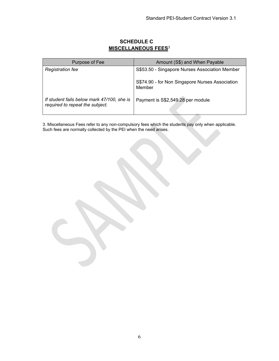| Purpose of Fee                                                                | Amount (S\$) and When Payable                             |
|-------------------------------------------------------------------------------|-----------------------------------------------------------|
| <b>Registration fee</b>                                                       | S\$53.50 - Singapore Nurses Association Member            |
|                                                                               | S\$74.90 - for Non Singapore Nurses Association<br>Member |
| If student fails below mark 47/100, she is<br>required to repeat the subject. | Payment is S\$2,549.28 per module                         |

## **SCHEDULE C MISCELLANEOUS FEES**<sup>3</sup>

3. Miscellaneous Fees refer to any non-compulsory fees which the students pay only when applicable. Such fees are normally collected by the PEI when the need arises.